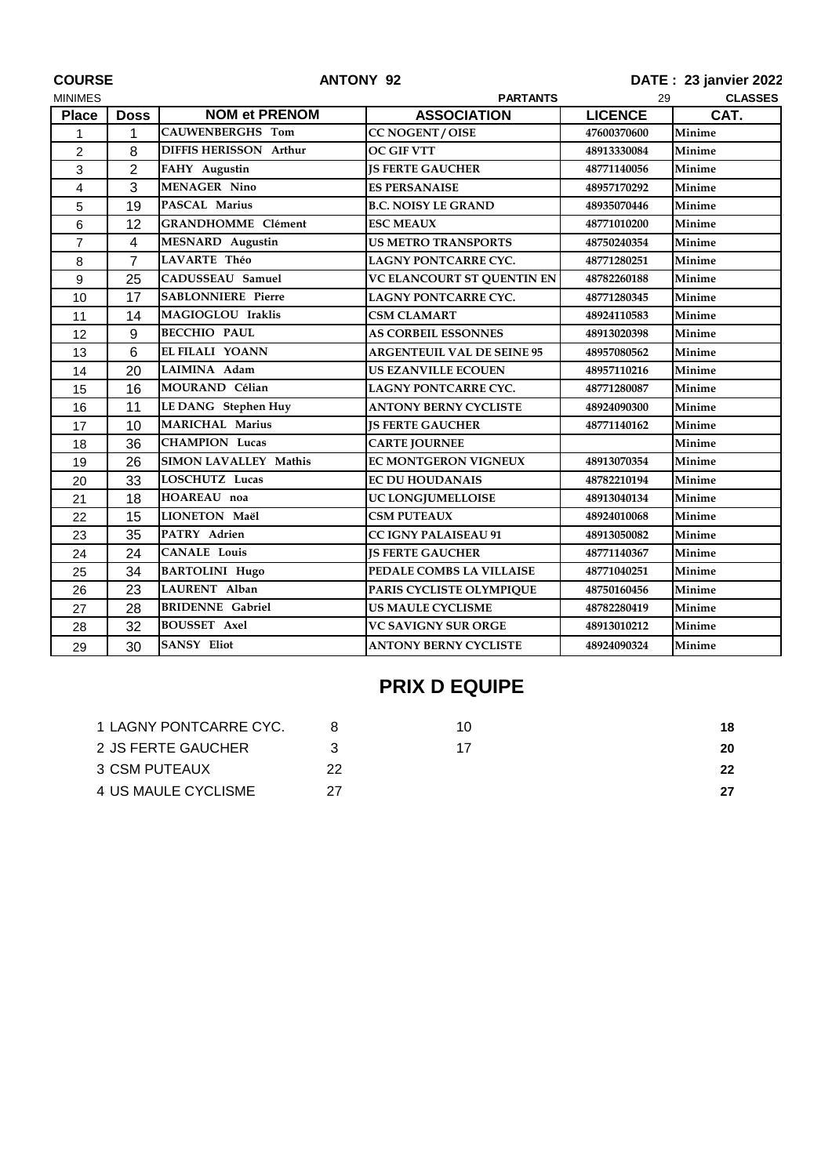| <b>COURSE</b>  |                         | <b>ANTONY 92</b>              |                                   | DATE: 23 janvier 2022 |               |  |
|----------------|-------------------------|-------------------------------|-----------------------------------|-----------------------|---------------|--|
| <b>MINIMES</b> |                         | <b>PARTANTS</b>               |                                   | <b>CLASSES</b><br>29  |               |  |
| <b>Place</b>   | <b>Doss</b>             | <b>NOM et PRENOM</b>          | <b>ASSOCIATION</b>                | <b>LICENCE</b>        | CAT.          |  |
| 1              | 1                       | <b>CAUWENBERGHS Tom</b>       | <b>CC NOGENT / OISE</b>           | 47600370600           | Minime        |  |
| 2              | 8                       | <b>DIFFIS HERISSON Arthur</b> | <b>OC GIF VTT</b>                 | 48913330084           | Minime        |  |
| 3              | $\overline{2}$          | FAHY Augustin                 | <b>IS FERTE GAUCHER</b>           | 48771140056           | Minime        |  |
| 4              | 3                       | <b>MENAGER Nino</b>           | <b>ES PERSANAISE</b>              | 48957170292           | Minime        |  |
| 5              | 19                      | <b>PASCAL Marius</b>          | <b>B.C. NOISY LE GRAND</b>        | 48935070446           | Minime        |  |
| 6              | 12                      | <b>GRANDHOMME Clément</b>     | <b>ESC MEAUX</b>                  | 48771010200           | Minime        |  |
| $\overline{7}$ | $\overline{\mathbf{4}}$ | <b>MESNARD</b> Augustin       | <b>US METRO TRANSPORTS</b>        | 48750240354           | <b>Minime</b> |  |
| 8              | $\overline{7}$          | <b>LAVARTE Théo</b>           | <b>LAGNY PONTCARRE CYC.</b>       | 48771280251           | Minime        |  |
| 9              | 25                      | CADUSSEAU Samuel              | VC ELANCOURT ST QUENTIN EN        | 48782260188           | Minime        |  |
| 10             | 17                      | <b>SABLONNIERE Pierre</b>     | <b>LAGNY PONTCARRE CYC.</b>       | 48771280345           | Minime        |  |
| 11             | 14                      | MAGIOGLOU Iraklis             | <b>CSM CLAMART</b>                | 48924110583           | Minime        |  |
| 12             | 9                       | <b>BECCHIO PAUL</b>           | <b>AS CORBEIL ESSONNES</b>        | 48913020398           | Minime        |  |
| 13             | 6                       | EL FILALI YOANN               | <b>ARGENTEUIL VAL DE SEINE 95</b> | 48957080562           | Minime        |  |
| 14             | 20                      | LAIMINA Adam                  | <b>US EZANVILLE ECOUEN</b>        | 48957110216           | Minime        |  |
| 15             | 16                      | MOURAND Célian                | LAGNY PONTCARRE CYC.              | 48771280087           | Minime        |  |
| 16             | 11                      | <b>LE DANG</b> Stephen Huy    | <b>ANTONY BERNY CYCLISTE</b>      | 48924090300           | Minime        |  |
| 17             | 10                      | <b>MARICHAL Marius</b>        | <b>IS FERTE GAUCHER</b>           | 48771140162           | Minime        |  |
| 18             | 36                      | <b>CHAMPION Lucas</b>         | <b>CARTE JOURNEE</b>              |                       | Minime        |  |
| 19             | 26                      | <b>SIMON LAVALLEY Mathis</b>  | EC MONTGERON VIGNEUX              | 48913070354           | Minime        |  |
| 20             | 33                      | <b>LOSCHUTZ Lucas</b>         | <b>EC DU HOUDANAIS</b>            | 48782210194           | Minime        |  |
| 21             | 18                      | HOAREAU noa                   | UC LONGJUMELLOISE                 | 48913040134           | Minime        |  |
| 22             | 15                      | LIONETON Maël                 | <b>CSM PUTEAUX</b>                | 48924010068           | Minime        |  |
| 23             | 35                      | PATRY Adrien                  | <b>CC IGNY PALAISEAU 91</b>       | 48913050082           | Minime        |  |
| 24             | 24                      | <b>CANALE Louis</b>           | <b>JS FERTE GAUCHER</b>           | 48771140367           | Minime        |  |
| 25             | 34                      | <b>BARTOLINI Hugo</b>         | PEDALE COMBS LA VILLAISE          | 48771040251           | Minime        |  |
| 26             | 23                      | LAURENT Alban                 | PARIS CYCLISTE OLYMPIQUE          | 48750160456           | Minime        |  |
| 27             | 28                      | <b>BRIDENNE</b> Gabriel       | <b>US MAULE CYCLISME</b>          | 48782280419           | <b>Minime</b> |  |
| 28             | 32                      | <b>BOUSSET Axel</b>           | <b>VC SAVIGNY SUR ORGE</b>        | 48913010212           | Minime        |  |
| 29             | 30                      | <b>SANSY Eliot</b>            | <b>ANTONY BERNY CYCLISTE</b>      | 48924090324           | Minime        |  |

## **PRIX D EQUIPE**

| 1 LAGNY PONTCARRE CYC. |     | 10 | 18 |
|------------------------|-----|----|----|
| 2 JS FERTE GAUCHER     |     |    | 20 |
| 3 CSM PUTEAUX          | 22  |    | 22 |
| 4 US MAULE CYCLISME    | 27. |    |    |